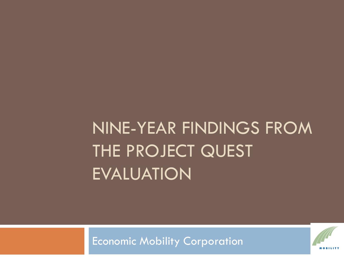NINE-YEAR FINDINGS FROM THE PROJECT QUEST EVALUATION

Economic Mobility Corporation

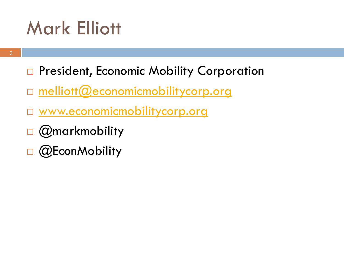# Mark Elliott

- □ President, Economic Mobility Corporation
- □ [melliott@economicmobilitycorp.org](mailto:melliott@economicmobilitycorp.org)
- [www.economicmobilitycorp.org](http://www.economicmobilitycorp.org/)
- [@markmobility](http://twitter.com/markmobility)
- $\Box$  (QEconMobility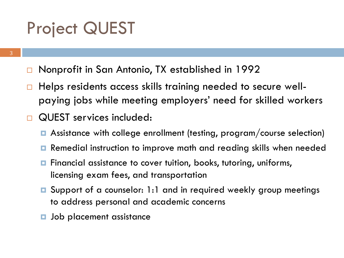## Project QUEST

- Nonprofit in San Antonio, TX established in 1992
- Helps residents access skills training needed to secure wellpaying jobs while meeting employers' need for skilled workers
- QUEST services included:
	- Assistance with college enrollment (testing, program/course selection)
	- Remedial instruction to improve math and reading skills when needed
	- Financial assistance to cover tuition, books, tutoring, uniforms, licensing exam fees, and transportation
	- Support of a counselor: 1:1 and in required weekly group meetings to address personal and academic concerns
	- Job placement assistance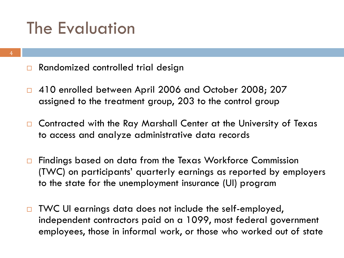## The Evaluation

- □ Randomized controlled trial design
- □ 410 enrolled between April 2006 and October 2008; 207 assigned to the treatment group, 203 to the control group
- □ Contracted with the Ray Marshall Center at the University of Texas to access and analyze administrative data records
- □ Findings based on data from the Texas Workforce Commission (TWC) on participants' quarterly earnings as reported by employers to the state for the unemployment insurance (UI) program
- □ TWC UI earnings data does not include the self-employed, independent contractors paid on a 1099, most federal government employees, those in informal work, or those who worked out of state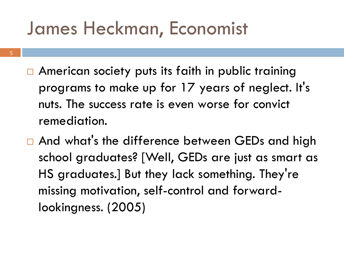# James Heckman, Economist

- 5
- American society puts its faith in public training programs to make up for 17 years of neglect. It's nuts. The success rate is even worse for convict remediation.
- □ And what's the difference between GEDs and high school graduates? [Well, GEDs are just as smart as HS graduates.] But they lack something. They're missing motivation, self-control and forwardlookingness. (2005)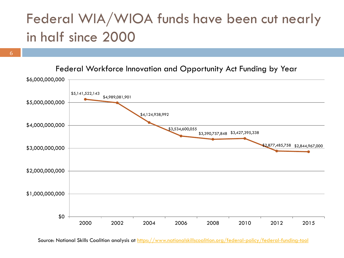### Federal WIA/WIOA funds have been cut nearly in half since 2000

6

\$5,141,522,143 \$4,989,081,901 \$4,124,938,992 \$3,534,600,055 \$3,390,757,848 \$3,427,395,338 \$2,877,485,758 \$2,844,967,000 \$0 \$1,000,000,000 \$2,000,000,000 \$3,000,000,000 \$4,000,000,000 \$5,000,000,000 \$6,000,000,000 2000 2002 2004 2006 2008 2010 2012 2015 Federal Workforce Innovation and Opportunity Act Funding by Year

Source: National Skills Coalition analysis at<https://www.nationalskillscoalition.org/federal-policy/federal-funding-tool>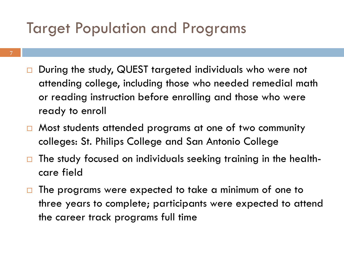### Target Population and Programs

- During the study, QUEST targeted individuals who were not attending college, including those who needed remedial math or reading instruction before enrolling and those who were ready to enroll
- □ Most students attended programs at one of two community colleges: St. Philips College and San Antonio College
- $\Box$  The study focused on individuals seeking training in the healthcare field
- $\Box$  The programs were expected to take a minimum of one to three years to complete; participants were expected to attend the career track programs full time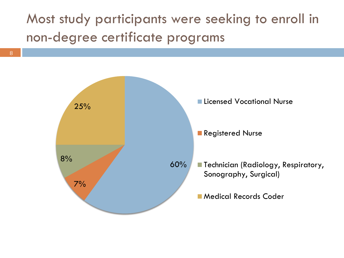Most study participants were seeking to enroll in non-degree certificate programs

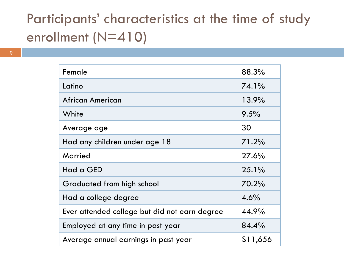#### Participants' characteristics at the time of study enrollment (N=410)

| Female                                        | 88.3%    |
|-----------------------------------------------|----------|
| Latino                                        | 74.1%    |
| <b>African American</b>                       | 13.9%    |
| White                                         | 9.5%     |
| Average age                                   | 30       |
| Had any children under age 18                 | 71.2%    |
| Married                                       | 27.6%    |
| Had a GED                                     | $25.1\%$ |
| Graduated from high school                    | 70.2%    |
| Had a college degree                          | 4.6%     |
| Ever attended college but did not earn degree | 44.9%    |
| Employed at any time in past year             | 84.4%    |
| Average annual earnings in past year          | \$11,656 |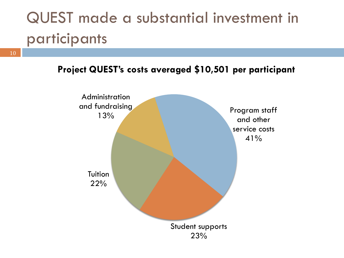## QUEST made a substantial investment in participants

10

**Project QUEST's costs averaged \$10,501 per participant**

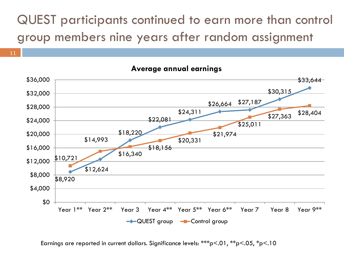#### QUEST participants continued to earn more than control group members nine years after random assignment

#### \$8,920 \$12,624 \$18,220 \$22,081 \$24,311 \$26,664 \$27,187 \$30,315  $$33,644$ \$10,721 \$14,993 \$16,340 \$18,156 \$20,331 \$21,974 \$25,011  $$27,363$   $$28,404$ \$0 \$4,000 \$8,000 \$12,000 \$16,000 \$20,000 \$24,000 \$28,000 \$32,000 \$36,000 Year 1<sup>\*\*</sup> Year 2<sup>\*\*</sup> Year 3 Year 4<sup>\*\*</sup> Year 5<sup>\*\*</sup> Year 6<sup>\*\*</sup> Year 7 Year 8 Year 9<sup>\*\*</sup>  $\rightarrow$  QUEST group  $\rightarrow$  Control group

**Average annual earnings**

Earnings are reported in current dollars. Significance levels: \*\*\*p<.01, \*\*p<.05, \*p<.10

11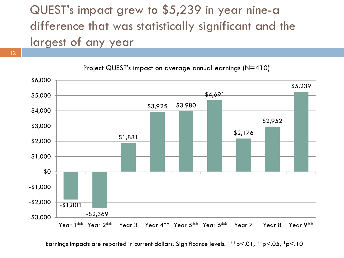#### QUEST's impact grew to \$5,239 in year nine-a difference that was statistically significant and the largest of any year



Project QUEST's impact on average annual earnings (N=410)

Earnings impacts are reported in current dollars. Significance levels: \*\*\*p<.01, \*\*p<.05, \*p<.10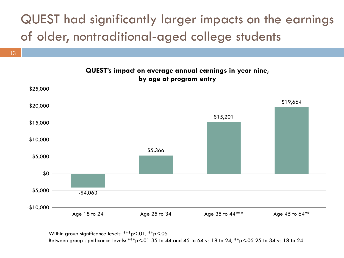#### QUEST had significantly larger impacts on the earnings of older, nontraditional-aged college students



**QUEST's impact on average annual earnings in year nine,** 

Within group significance levels: \*\*\*p<.01, \*\*p<.05

13

Between group significance levels: \*\*\*p<.01 35 to 44 and 45 to 64 vs 18 to 24, \*\*p<.05 25 to 34 vs 18 to 24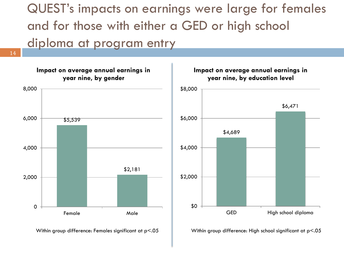QUEST's impacts on earnings were large for females and for those with either a GED or high school diploma at program entry

14





Within group difference: Females significant at  $p < .05$  Within group difference: High school significant at  $p < .05$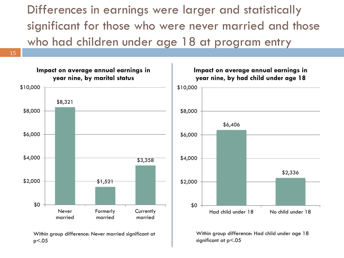Differences in earnings were larger and statistically significant for those who were never married and those who had children under age 18 at program entry



p<.05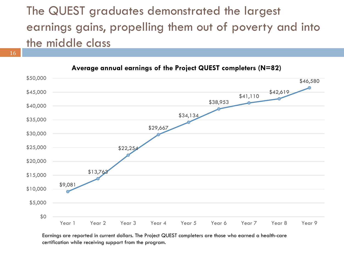#### The QUEST graduates demonstrated the largest earnings gains, propelling them out of poverty and into the middle class

16



**Average annual earnings of the Project QUEST completers (N=82)**

Earnings are reported in current dollars. The Project QUEST completers are those who earned a health-care certification while receiving support from the program.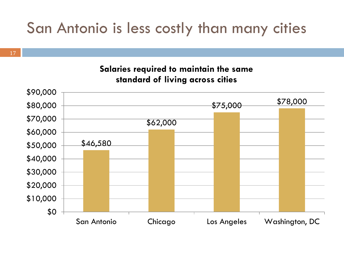### San Antonio is less costly than many cities

**Salaries required to maintain the same standard of living across cities**